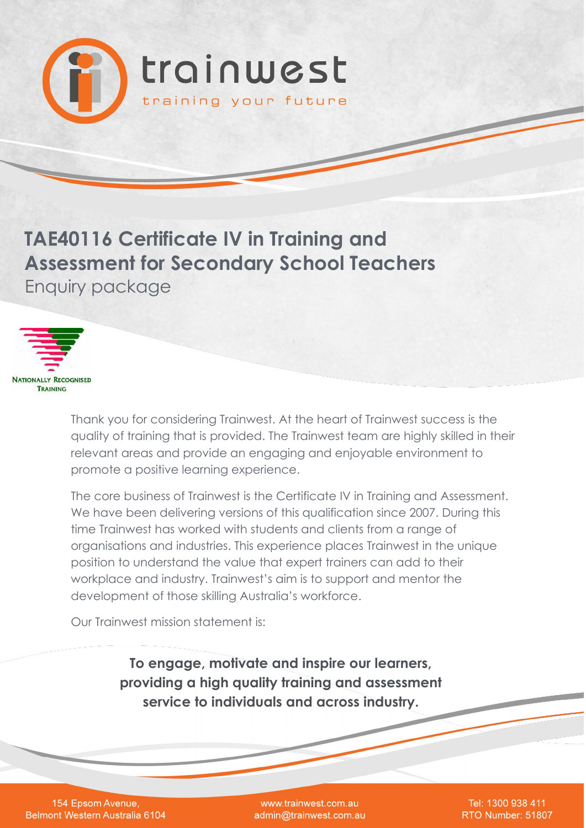

**TAE40116 Certificate IV in Training and Assessment for Secondary School Teachers** Enquiry package



Thank you for considering Trainwest. At the heart of Trainwest success is the quality of training that is provided. The Trainwest team are highly skilled in their relevant areas and provide an engaging and enjoyable environment to promote a positive learning experience.

The core business of Trainwest is the Certificate IV in Training and Assessment. We have been delivering versions of this qualification since 2007. During this time Trainwest has worked with students and clients from a range of organisations and industries. This experience places Trainwest in the unique position to understand the value that expert trainers can add to their workplace and industry. Trainwest's aim is to support and mentor the development of those skilling Australia's workforce.

Our Trainwest mission statement is:

**To engage, motivate and inspire our learners, providing a high quality training and assessment service to individuals and across industry.**

154 Epsom Avenue, **Belmont Western Australia 6104** 

www.trainwest.com.au admin@trainwest.com.au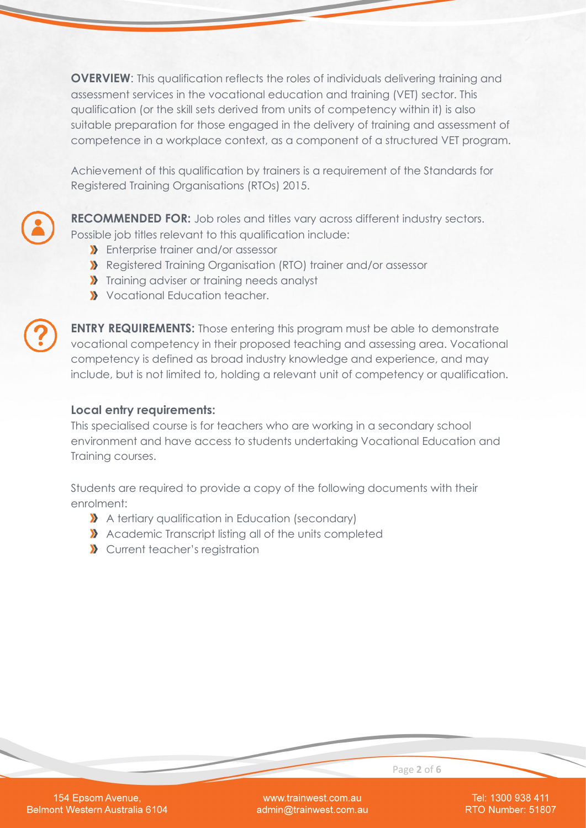**OVERVIEW:** This qualification reflects the roles of individuals delivering training and assessment services in the vocational education and training (VET) sector. This qualification (or the skill sets derived from units of competency within it) is also suitable preparation for those engaged in the delivery of training and assessment of competence in a workplace context, as a component of a structured VET program.

Achievement of this qualification by trainers is a requirement of the Standards for Registered Training Organisations (RTOs) 2015.

**RECOMMENDED FOR:** Job roles and titles vary across different industry sectors. Possible job titles relevant to this qualification include:

- **X** Enterprise trainer and/or assessor
- Registered Training Organisation (RTO) trainer and/or assessor
- **X** Training adviser or training needs analyst
- **Vocational Education teacher.**



**ENTRY REQUIREMENTS:** Those entering this program must be able to demonstrate vocational competency in their proposed teaching and assessing area. Vocational competency is defined as broad industry knowledge and experience, and may include, but is not limited to, holding a relevant unit of competency or qualification.

#### **Local entry requirements:**

This specialised course is for teachers who are working in a secondary school environment and have access to students undertaking Vocational Education and Training courses.

Students are required to provide a copy of the following documents with their enrolment:

- A tertiary qualification in Education (secondary)
- Academic Transcript listing all of the units completed
- **X** Current teacher's registration

154 Epsom Avenue, Belmont Western Australia 6104

www.trainwest.com.au admin@trainwest.com.au

Tel: 1300 938 411 RTO Number: 51807

Page **2** of **6**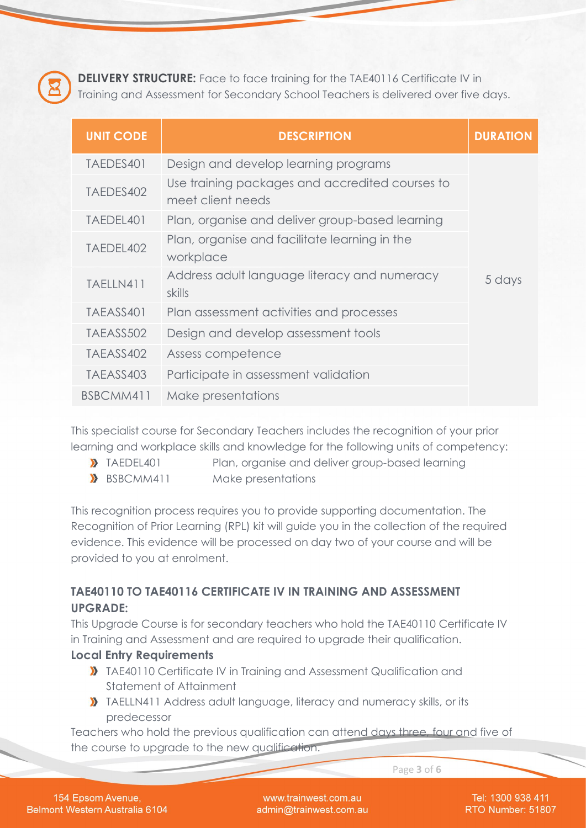

**DELIVERY STRUCTURE:** Face to face training for the TAE40116 Certificate IV in Training and Assessment for Secondary School Teachers is delivered over five days.

| <b>UNIT CODE</b> | <b>DESCRIPTION</b>                                                   | <b>DURATION</b> |
|------------------|----------------------------------------------------------------------|-----------------|
| TAEDES401        | Design and develop learning programs                                 |                 |
| TAEDES402        | Use training packages and accredited courses to<br>meet client needs |                 |
| TAEDEL401        | Plan, organise and deliver group-based learning                      |                 |
| TAEDEL402        | Plan, organise and facilitate learning in the<br>workplace           |                 |
| TAELLN411        | Address adult language literacy and numeracy<br>skills               | 5 days          |
| TAEASS401        | Plan assessment activities and processes                             |                 |
| TAEASS502        | Design and develop assessment tools                                  |                 |
| TAEASS402        | Assess competence                                                    |                 |
| TAEASS403        | Participate in assessment validation                                 |                 |
| BSBCMM411        | Make presentations                                                   |                 |

This specialist course for Secondary Teachers includes the recognition of your prior learning and workplace skills and knowledge for the following units of competency:

- TAEDEL401 Plan, organise and deliver group-based learning
- BSBCMM411 Make presentations

This recognition process requires you to provide supporting documentation. The Recognition of Prior Learning (RPL) kit will guide you in the collection of the required evidence. This evidence will be processed on day two of your course and will be provided to you at enrolment.

# **TAE40110 TO TAE40116 CERTIFICATE IV IN TRAINING AND ASSESSMENT UPGRADE:**

This Upgrade Course is for secondary teachers who hold the TAE40110 Certificate IV in Training and Assessment and are required to upgrade their qualification.

### **Local Entry Requirements**

- **X** TAE40110 Certificate IV in Training and Assessment Qualification and Statement of Attainment
- TAELLN411 Address adult language, literacy and numeracy skills, or its predecessor

Teachers who hold the previous qualification can attend days three, four and five of the course to upgrade to the new qualification.

Page **3** of **6**

154 Epsom Avenue, Belmont Western Australia 6104

www.trainwest.com.au admin@trainwest.com.au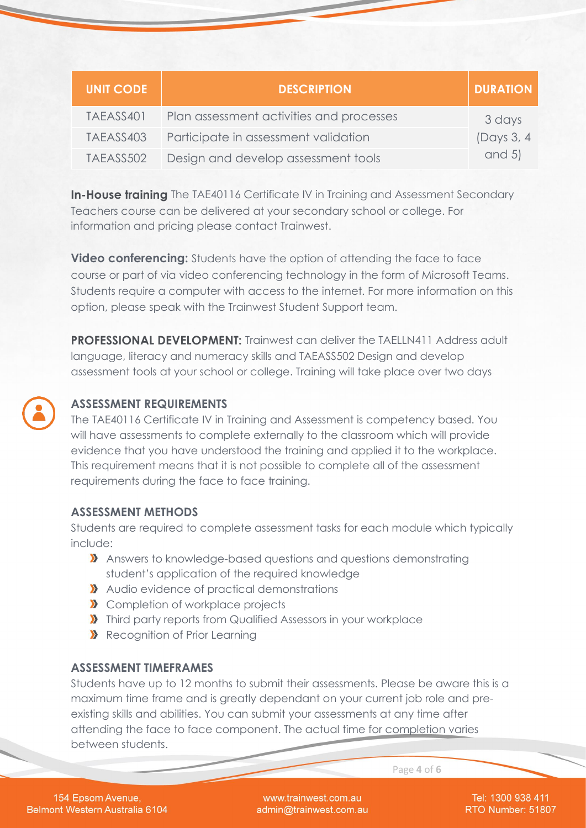| <b>UNIT CODE</b> | <b>DESCRIPTION</b>                       | <b>DURATION</b> |
|------------------|------------------------------------------|-----------------|
| TAEASS401        | Plan assessment activities and processes | 3 days          |
| TAEASS403        | Participate in assessment validation     | (Days 3, 4)     |
| TAEASS502        | Design and develop assessment tools      | and $5$ )       |

**In-House training** The TAE40116 Certificate IV in Training and Assessment Secondary Teachers course can be delivered at your secondary school or college. For information and pricing please contact Trainwest.

**Video conferencing:** Students have the option of attending the face to face course or part of via video conferencing technology in the form of Microsoft Teams. Students require a computer with access to the internet. For more information on this option, please speak with the Trainwest Student Support team.

**PROFESSIONAL DEVELOPMENT:** Trainwest can deliver the TAELLN411 Address adult language, literacy and numeracy skills and TAEASS502 Design and develop assessment tools at your school or college. Training will take place over two days



# **ASSESSMENT REQUIREMENTS**

The TAE40116 Certificate IV in Training and Assessment is competency based. You will have assessments to complete externally to the classroom which will provide evidence that you have understood the training and applied it to the workplace. This requirement means that it is not possible to complete all of the assessment requirements during the face to face training.

### **ASSESSMENT METHODS**

Students are required to complete assessment tasks for each module which typically include:

- Answers to knowledge-based questions and questions demonstrating student's application of the required knowledge
- Audio evidence of practical demonstrations
- **X** Completion of workplace projects
- **X** Third party reports from Qualified Assessors in your workplace
- Recognition of Prior Learning

### **ASSESSMENT TIMEFRAMES**

Students have up to 12 months to submit their assessments. Please be aware this is a maximum time frame and is greatly dependant on your current job role and preexisting skills and abilities. You can submit your assessments at any time after attending the face to face component. The actual time for completion varies between students.

154 Epsom Avenue, Belmont Western Australia 6104

www.trainwest.com.au admin@trainwest.com.au

Tel: 1300 938 411 RTO Number: 51807

Page **4** of **6**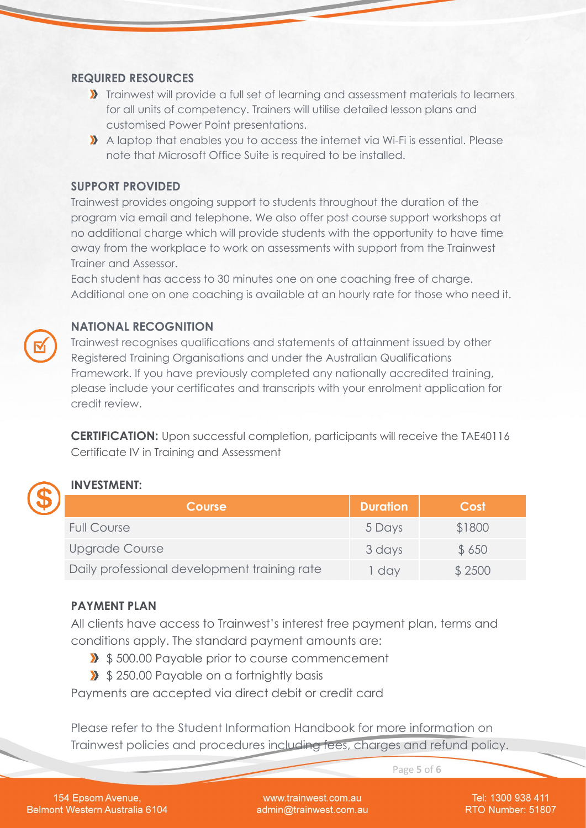#### **REQUIRED RESOURCES**

- **X** Trainwest will provide a full set of learning and assessment materials to learners for all units of competency. Trainers will utilise detailed lesson plans and customised Power Point presentations.
- A laptop that enables you to access the internet via Wi-Fi is essential. Please note that Microsoft Office Suite is required to be installed.

#### **SUPPORT PROVIDED**

Trainwest provides ongoing support to students throughout the duration of the program via email and telephone. We also offer post course support workshops at no additional charge which will provide students with the opportunity to have time away from the workplace to work on assessments with support from the Trainwest Trainer and Assessor.

Each student has access to 30 minutes one on one coaching free of charge. Additional one on one coaching is available at an hourly rate for those who need it.

## **NATIONAL RECOGNITION**

Trainwest recognises qualifications and statements of attainment issued by other Registered Training Organisations and under the Australian Qualifications Framework. If you have previously completed any nationally accredited training, please include your certificates and transcripts with your enrolment application for credit review.

**CERTIFICATION:** Upon successful completion, participants will receive the TAE40116 Certificate IV in Training and Assessment



### **INVESTMENT:**

| <b>Course</b>                                | <b>Duration</b> | Cost   |
|----------------------------------------------|-----------------|--------|
| <b>Full Course</b>                           | 5 Days          | \$1800 |
| Upgrade Course                               | 3 days          | \$650  |
| Daily professional development training rate | day             | \$2500 |

#### **PAYMENT PLAN**

All clients have access to Trainwest's interest free payment plan, terms and conditions apply. The standard payment amounts are:

- **>>** \$500.00 Payable prior to course commencement
- **>>** \$250.00 Payable on a fortnightly basis

Payments are accepted via direct debit or credit card

Please refer to the Student Information Handbook for more information on Trainwest policies and procedures including fees, charges and refund policy.

Page **5** of **6**

154 Epsom Avenue, Belmont Western Australia 6104

www.trainwest.com.au admin@trainwest.com.au